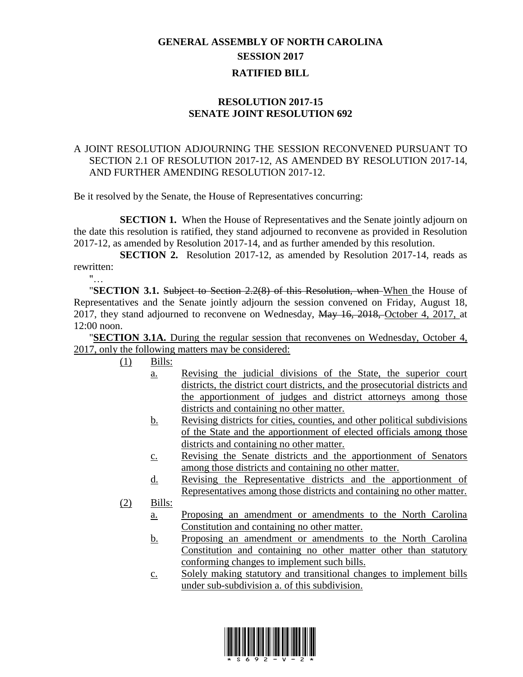## **GENERAL ASSEMBLY OF NORTH CAROLINA SESSION 2017 RATIFIED BILL**

## **RESOLUTION 2017-15 SENATE JOINT RESOLUTION 692**

## A JOINT RESOLUTION ADJOURNING THE SESSION RECONVENED PURSUANT TO SECTION 2.1 OF RESOLUTION 2017-12, AS AMENDED BY RESOLUTION 2017-14, AND FURTHER AMENDING RESOLUTION 2017-12.

Be it resolved by the Senate, the House of Representatives concurring:

**SECTION 1.** When the House of Representatives and the Senate jointly adjourn on the date this resolution is ratified, they stand adjourned to reconvene as provided in Resolution 2017-12, as amended by Resolution 2017-14, and as further amended by this resolution.

**SECTION 2.** Resolution 2017-12, as amended by Resolution 2017-14, reads as rewritten:

 $"$ …

"**SECTION 3.1.** Subject to Section 2.2(8) of this Resolution, when When the House of Representatives and the Senate jointly adjourn the session convened on Friday, August 18, 2017, they stand adjourned to reconvene on Wednesday, May 16, 2018, October 4, 2017, at 12:00 noon.

"**SECTION 3.1A.** During the regular session that reconvenes on Wednesday, October 4, 2017, only the following matters may be considered:

- $(1)$  Bills:
	- a. Revising the judicial divisions of the State, the superior court districts, the district court districts, and the prosecutorial districts and the apportionment of judges and district attorneys among those districts and containing no other matter.
	- b. Revising districts for cities, counties, and other political subdivisions of the State and the apportionment of elected officials among those districts and containing no other matter.
	- c. Revising the Senate districts and the apportionment of Senators among those districts and containing no other matter.
	- d. Revising the Representative districts and the apportionment of Representatives among those districts and containing no other matter.
- (2) Bills:
	- a. Proposing an amendment or amendments to the North Carolina Constitution and containing no other matter.
	- b. Proposing an amendment or amendments to the North Carolina Constitution and containing no other matter other than statutory conforming changes to implement such bills.
	- c. Solely making statutory and transitional changes to implement bills under sub-subdivision a. of this subdivision.